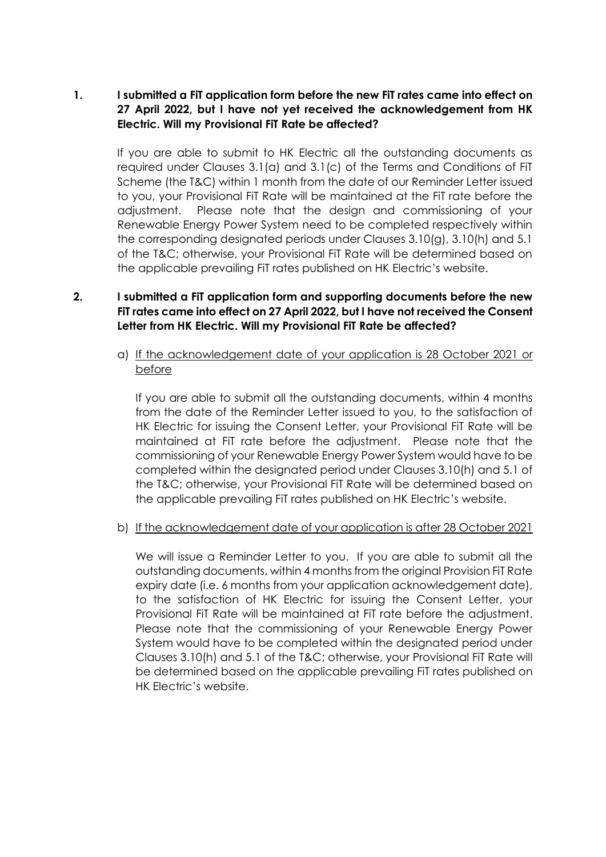## **1. I submitted a FiT application form before the new FiT rates came into effect on 27 April 2022, but I have not yet received the acknowledgement from HK Electric. Will my Provisional FiT Rate be affected?**

If you are able to submit to HK Electric all the outstanding documents as required under Clauses 3.1(a) and 3.1(c) of the Terms and Conditions of FiT Scheme (the T&C) within 1 month from the date of our Reminder Letter issued to you, your Provisional FiT Rate will be maintained at the FiT rate before the adjustment. Please note that the design and commissioning of your Renewable Energy Power System need to be completed respectively within the corresponding designated periods under Clauses 3.10(g), 3.10(h) and 5.1 of the T&C; otherwise, your Provisional FiT Rate will be determined based on the applicable prevailing FiT rates published on HK Electric's website.

## **2. I submitted a FiT application form and supporting documents before the new FiT rates came into effect on 27 April 2022, but I have not received the Consent Letter from HK Electric. Will my Provisional FiT Rate be affected?**

a) If the acknowledgement date of your application is 28 October 2021 or before

If you are able to submit all the outstanding documents, within 4 months from the date of the Reminder Letter issued to you, to the satisfaction of HK Electric for issuing the Consent Letter, your Provisional FiT Rate will be maintained at FiT rate before the adjustment. Please note that the commissioning of your Renewable Energy Power System would have to be completed within the designated period under Clauses 3.10(h) and 5.1 of the T&C; otherwise, your Provisional FiT Rate will be determined based on the applicable prevailing FiT rates published on HK Electric's website.

## b) If the acknowledgement date of your application is after 28 October 2021

We will issue a Reminder Letter to you. If you are able to submit all the outstanding documents, within 4 months from the original Provision FiT Rate expiry date (i.e. 6 months from your application acknowledgement date), to the satisfaction of HK Electric for issuing the Consent Letter, your Provisional FiT Rate will be maintained at FiT rate before the adjustment. Please note that the commissioning of your Renewable Energy Power System would have to be completed within the designated period under Clauses 3.10(h) and 5.1 of the T&C; otherwise, your Provisional FiT Rate will be determined based on the applicable prevailing FiT rates published on HK Electric's website.